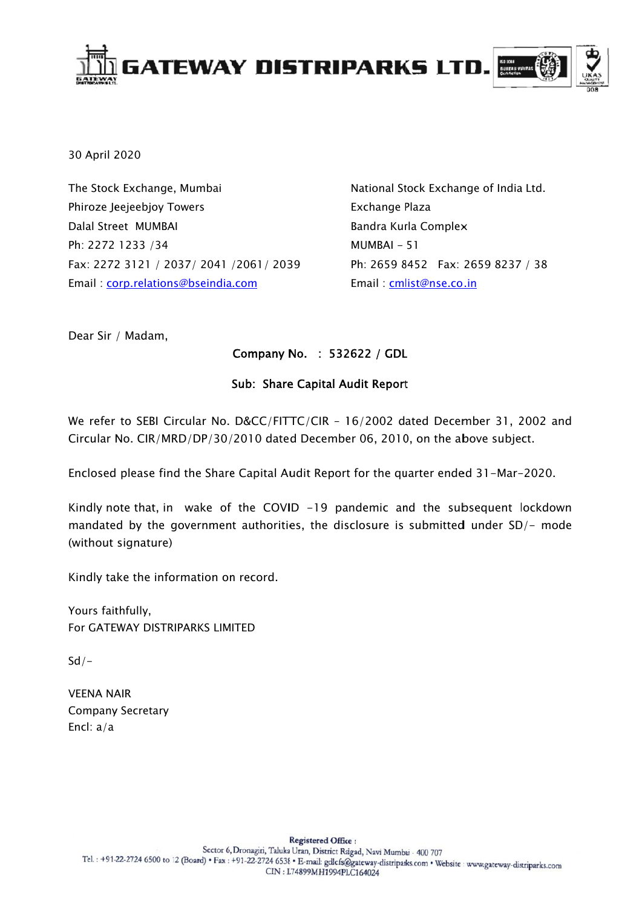

30 April 2020

The Stock Exchange, Mumbai Phiroze Jeejeebjoy Towers Dalal Street MUMBAI Ph: 2272 1233 /34 Fax: 2272 3121 / 2037/ 2041 /2061/ 2039 Email: corp.relations@bseindia.com

National Stock Exchange of India Ltd. Exchange Plaza Bandra Kurla Complex  $MUMBAI - 51$ Ph: 2659 8452 Fax: 2659 8237 / 38 Email: cmlist@nse.co.in

Dear Sir / Madam,

### Company No. : 532622 / GDL

### **Sub: Share Capital Audit Report**

We refer to SEBI Circular No. D&CC/FITTC/CIR - 16/2002 dated December 31, 2002 and Circular No. CIR/MRD/DP/30/2010 dated December 06, 2010, on the above subject.

Enclosed please find the Share Capital Audit Report for the quarter ended 31-Mar-2020.

Kindly note that, in wake of the COVID -19 pandemic and the subsequent lockdown mandated by the government authorities, the disclosure is submitted under SD/- mode (without signature)

Kindly take the information on record.

Yours faithfully, For GATEWAY DISTRIPARKS LIMITED

 $Sd/-$ 

**VEENA NAIR Company Secretary** Encl:  $a/a$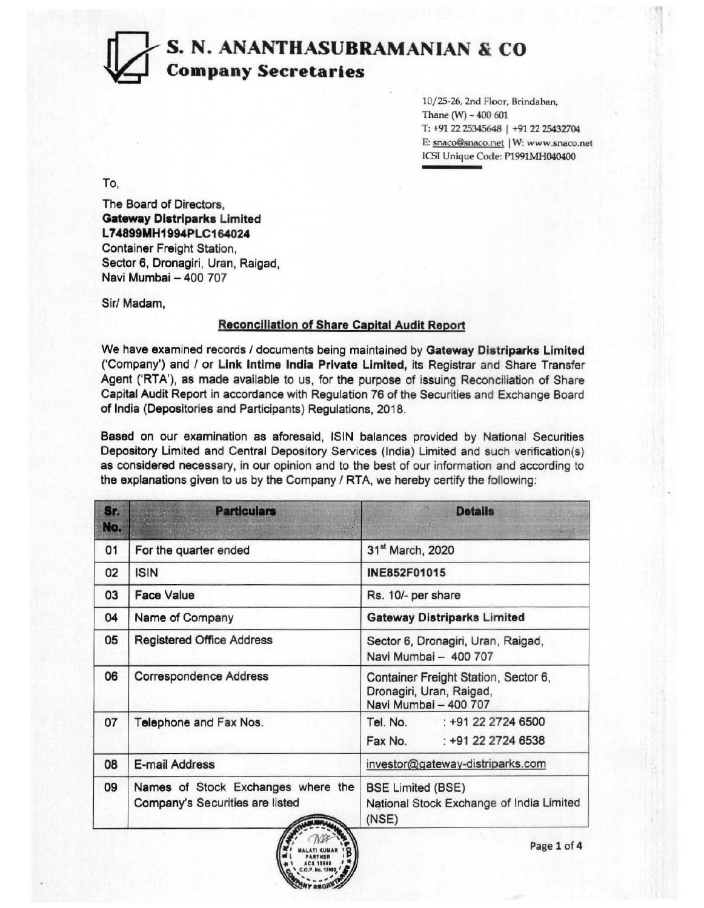### S. N. ANANTHASUBRAMANIAN & CO ~ Company Secretaries

10/25-26, 2nd Floor, Brindaban, Thane  $(W)$  - 400 601 T: +91 22 25345648 | +91 22 25432704 E: snaco@snaco.net | W: www.snaco.net JCSI Unique Code: P1991MH040400

'1

To,

The Board of Directors, Gateway Distriparks Limited L74899MH1994PLC164024 Container Freight Station, Sector 6, Dronagiri, Uran, Raigad, Navi Mumbai - 400 707

Sir/ Madam,

#### **Reconciliation of Share Capital Audit Report**

We have examined records / documents being maintained by Gateway Distriparks Limited ('Company') and / or Link Intime India Private Limited, its Registrar and Share Transfer Agent ('RTA'), as made available to us, for the purpose of issuing Reconciliation of Share Capital Audit Report in accordance with Regulation 76 of the Securities and Exchange Board of India (Depositories and Participants) Regulations, 2018.

Based on our examination as aforesaid, ISIN balances provided by National Securities Depository Limited and Central Depository Services (India) Limited and such verification(s) as considered necessary, in our opinion and to the best of our information and according to the explanations given to us by the Company / RTA, we hereby certify the following:

| Sr.<br>No. | <b>Particulars</b>                                                    | <b>Details</b>                                                                            |  |  |  |
|------------|-----------------------------------------------------------------------|-------------------------------------------------------------------------------------------|--|--|--|
| 01         | For the quarter ended                                                 | 31 <sup>st</sup> March, 2020                                                              |  |  |  |
| 02         | <b>ISIN</b>                                                           | INE852F01015                                                                              |  |  |  |
| 03         | <b>Face Value</b>                                                     | Rs. 10/- per share                                                                        |  |  |  |
| 04         | Name of Company                                                       | <b>Gateway Distriparks Limited</b>                                                        |  |  |  |
| 05         | <b>Registered Office Address</b>                                      | Sector 6, Dronagiri, Uran, Raigad,<br>Navi Mumbai - 400 707                               |  |  |  |
| 06         | <b>Correspondence Address</b>                                         | Container Freight Station, Sector 6,<br>Dronagiri, Uran, Raigad,<br>Navi Mumbai - 400 707 |  |  |  |
| 07         | Telephone and Fax Nos.                                                | Tel. No. : +91 22 2724 6500<br>: +91 22 2724 6538<br>Fax No.                              |  |  |  |
| 08         | E-mail Address                                                        | investor@gateway-distriparks.com                                                          |  |  |  |
| 09         | Names of Stock Exchanges where the<br>Company's Securities are listed | <b>BSE Limited (BSE)</b><br>National Stock Exchange of India Limited<br>(NSE)             |  |  |  |

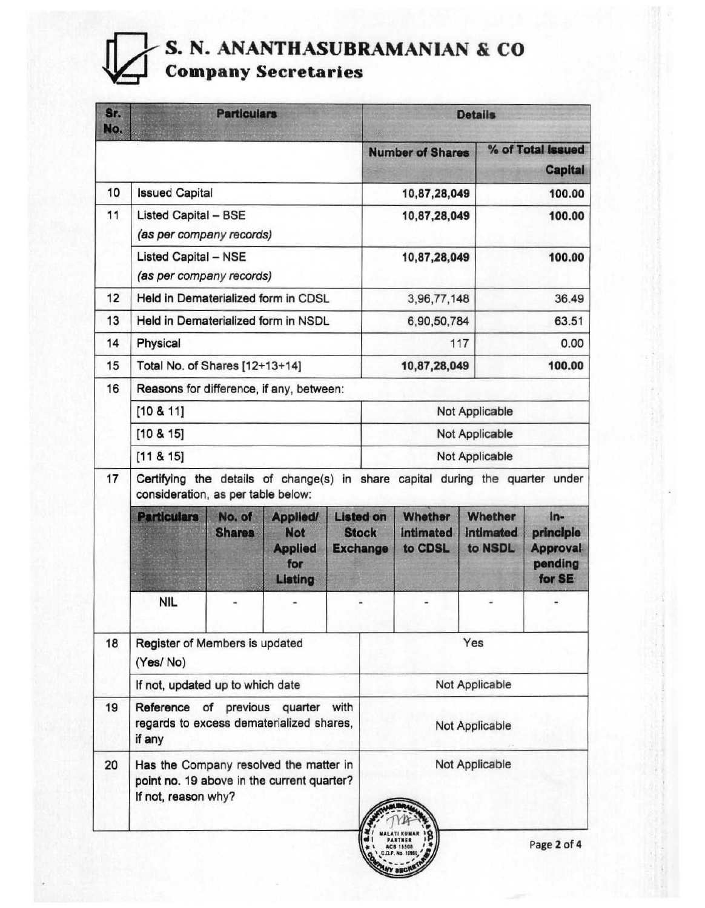# **FRAMANIAN S. N. ANANTHASUBRAMANIAN & CO Company Secretaries**

| Sr.<br>No. | <b>Particulars</b>                                                                                          |                                                                                                                     |                                                                   | <b>Details</b> |                                                     |                                        |                                               |                                                            |  |
|------------|-------------------------------------------------------------------------------------------------------------|---------------------------------------------------------------------------------------------------------------------|-------------------------------------------------------------------|----------------|-----------------------------------------------------|----------------------------------------|-----------------------------------------------|------------------------------------------------------------|--|
|            |                                                                                                             |                                                                                                                     |                                                                   |                |                                                     | <b>Number of Shares</b>                |                                               | % of Total Issued<br><b>Capital</b>                        |  |
| 10         | <b>Issued Capital</b>                                                                                       |                                                                                                                     |                                                                   |                | 10,87,28,049                                        |                                        | 100.00                                        |                                                            |  |
| 11         | <b>Listed Capital - BSE</b>                                                                                 |                                                                                                                     |                                                                   |                | 10,87,28,049                                        |                                        | 100.00                                        |                                                            |  |
|            | (as per company records)                                                                                    |                                                                                                                     |                                                                   |                |                                                     |                                        |                                               |                                                            |  |
|            | <b>Listed Capital - NSE</b><br>(as per company records)                                                     |                                                                                                                     |                                                                   |                | 10,87,28,049                                        |                                        | 100.00                                        |                                                            |  |
| 12         | Held in Dematerialized form in CDSL                                                                         |                                                                                                                     |                                                                   | 3,96,77,148    |                                                     |                                        | 36.49                                         |                                                            |  |
| 13         | Held in Dematerialized form in NSDL                                                                         |                                                                                                                     |                                                                   |                |                                                     | 6,90,50,784                            |                                               | 63.51                                                      |  |
| 14         | Physical                                                                                                    |                                                                                                                     |                                                                   |                | 117                                                 |                                        | 0.00                                          |                                                            |  |
| 15         | Total No. of Shares [12+13+14]                                                                              |                                                                                                                     |                                                                   |                | 10,87,28,049                                        |                                        | 100.00                                        |                                                            |  |
| 16         | Reasons for difference, if any, between:                                                                    |                                                                                                                     |                                                                   |                |                                                     |                                        |                                               |                                                            |  |
|            | [10 8 11]                                                                                                   |                                                                                                                     |                                                                   | Not Applicable |                                                     |                                        |                                               |                                                            |  |
|            | [10 & 415]                                                                                                  |                                                                                                                     |                                                                   |                | Not Applicable                                      |                                        |                                               |                                                            |  |
|            | [11 & 8 & 15]                                                                                               |                                                                                                                     |                                                                   | Not Applicable |                                                     |                                        |                                               |                                                            |  |
| 17         |                                                                                                             | Certifying the details of change(s) in share capital during the quarter under<br>consideration, as per table below: |                                                                   |                |                                                     |                                        |                                               |                                                            |  |
|            | <b>Particulars</b>                                                                                          | No. of<br><b>Shares</b>                                                                                             | <b>Applied/</b><br><b>Not</b><br><b>Applied</b><br>for<br>Listing |                | <b>Listed on</b><br><b>Stock</b><br><b>Exchange</b> | Whether<br><b>intimated</b><br>to CDSL | <b>Whether</b><br><b>intimated</b><br>to NSDL | $In-$<br>principle<br><b>Approval</b><br>pending<br>for SE |  |
|            | <b>NIL</b>                                                                                                  |                                                                                                                     |                                                                   |                |                                                     |                                        |                                               |                                                            |  |
| 18         | Register of Members is updated<br>(Yes/No)                                                                  |                                                                                                                     |                                                                   | Yes            |                                                     |                                        |                                               |                                                            |  |
|            | If not, updated up to which date                                                                            |                                                                                                                     |                                                                   | Not Applicable |                                                     |                                        |                                               |                                                            |  |
| 19         | Reference of previous quarter<br>with<br>regards to excess dematerialized shares,<br>if any                 |                                                                                                                     |                                                                   | Not Applicable |                                                     |                                        |                                               |                                                            |  |
| 20         | Has the Company resolved the matter in<br>point no. 19 above in the current quarter?<br>If not, reason why? |                                                                                                                     |                                                                   | Not Applicable |                                                     |                                        |                                               |                                                            |  |
|            |                                                                                                             |                                                                                                                     |                                                                   |                |                                                     |                                        |                                               | Page 2 of 4                                                |  |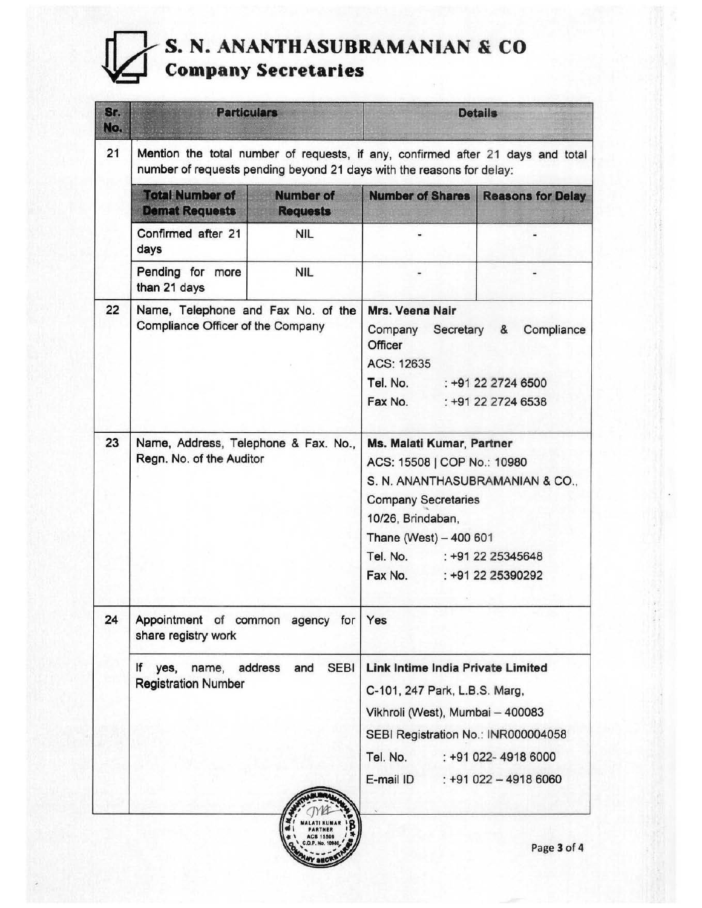# **FRAMANIAN & CO**<br> **Company Secretaries**

| Sr.<br>No. | <b>Particulars</b>                                                                                                                                       | <b>Details</b>                                                                                                                                                                                                                            |                                                                                                                                                                                                                        |  |                          |  |
|------------|----------------------------------------------------------------------------------------------------------------------------------------------------------|-------------------------------------------------------------------------------------------------------------------------------------------------------------------------------------------------------------------------------------------|------------------------------------------------------------------------------------------------------------------------------------------------------------------------------------------------------------------------|--|--------------------------|--|
| 21         | Mention the total number of requests, if any, confirmed after 21 days and total<br>number of requests pending beyond 21 days with the reasons for delay: |                                                                                                                                                                                                                                           |                                                                                                                                                                                                                        |  |                          |  |
|            | <b>Total Number of</b><br><b>Number of</b><br><b>Demat Requests</b><br><b>Requests</b>                                                                   |                                                                                                                                                                                                                                           | <b>Number of Shares</b>                                                                                                                                                                                                |  | <b>Reasons for Delay</b> |  |
|            | Confirmed after 21<br>days                                                                                                                               | <b>NIL</b>                                                                                                                                                                                                                                |                                                                                                                                                                                                                        |  |                          |  |
|            | Pending for more<br>than 21 days                                                                                                                         | <b>NIL</b>                                                                                                                                                                                                                                |                                                                                                                                                                                                                        |  |                          |  |
| 22         | Name, Telephone and Fax No. of the<br>Compliance Officer of the Company                                                                                  | Mrs. Veena Nair<br>Secretary<br>Compliance<br>Company<br>&<br>Officer<br>ACS: 12635<br>Tel. No.<br>$: +912227246500$<br>Fax No.<br>: +91 22 2724 6538                                                                                     |                                                                                                                                                                                                                        |  |                          |  |
| 23         | Name, Address, Telephone & Fax. No.,<br>Regn. No. of the Auditor                                                                                         | Ms. Malati Kumar, Partner<br>ACS: 15508   COP No.: 10980<br>S. N. ANANTHASUBRAMANIAN & CO.,<br><b>Company Secretaries</b><br>10/26, Brindaban,<br>Thane (West) - 400 601<br>Tel. No.<br>: +91 22 25345648<br>Fax No.<br>: +91 22 25390292 |                                                                                                                                                                                                                        |  |                          |  |
| 24         | Appointment of common agency for<br>share registry work                                                                                                  |                                                                                                                                                                                                                                           | Yes                                                                                                                                                                                                                    |  |                          |  |
|            | ١f<br>yes,<br>name,<br><b>Registration Number</b>                                                                                                        | <b>SEBI</b><br>address<br>and                                                                                                                                                                                                             | Link Intime India Private Limited<br>C-101, 247 Park, L.B.S. Marg,<br>Vikhroli (West), Mumbai - 400083<br>SEBI Registration No.: INR000004058<br>Tel. No.<br>: +91 022-4918 6000<br>E-mail ID<br>$: +91022 - 49186060$ |  |                          |  |